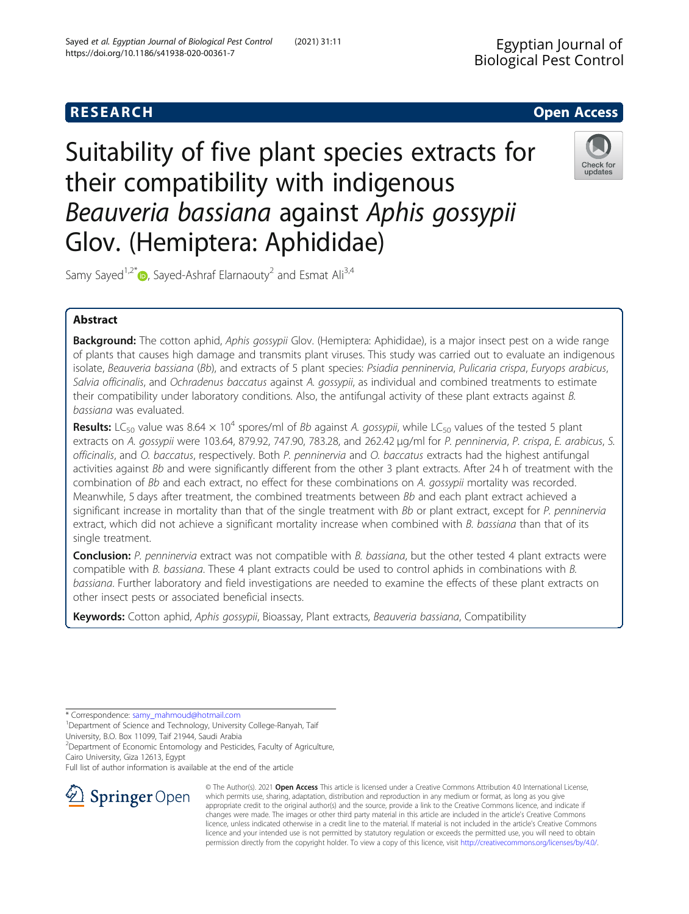# **RESEARCH CHE Open Access**

Suitability of five plant species extracts for their compatibility with indigenous Beauveria bassiana against Aphis gossypii Glov. (Hemiptera: Aphididae)



Samy Sayed<sup>1[,](http://orcid.org/0000-0002-7002-568X)2\*</sup> $\bullet$ , Sayed-Ashraf Elarnaouty<sup>2</sup> and Esmat Ali<sup>3,4</sup>

# Abstract

Background: The cotton aphid, Aphis gossypii Glov. (Hemiptera: Aphididae), is a major insect pest on a wide range of plants that causes high damage and transmits plant viruses. This study was carried out to evaluate an indigenous isolate, Beauveria bassiana (Bb), and extracts of 5 plant species: Psiadia penninervia, Pulicaria crispa, Euryops arabicus, Salvia officinalis, and Ochradenus baccatus against A. gossypii, as individual and combined treatments to estimate their compatibility under laboratory conditions. Also, the antifungal activity of these plant extracts against B. bassiana was evaluated.

**Results:** LC<sub>50</sub> value was 8.64  $\times$  10<sup>4</sup> spores/ml of *Bb* against *A. gossypii*, while LC<sub>50</sub> values of the tested 5 plant extracts on A. gossypii were 103.64, 879.92, 747.90, 783.28, and 262.42 μg/ml for P. penninervia, P. crispa, E. arabicus, S. officinalis, and O. baccatus, respectively. Both P. penninervia and O. baccatus extracts had the highest antifungal activities against Bb and were significantly different from the other 3 plant extracts. After 24 h of treatment with the combination of Bb and each extract, no effect for these combinations on A. gossypii mortality was recorded. Meanwhile, 5 days after treatment, the combined treatments between Bb and each plant extract achieved a significant increase in mortality than that of the single treatment with Bb or plant extract, except for P. penninervia extract, which did not achieve a significant mortality increase when combined with B. bassiana than that of its single treatment.

Conclusion: P. penninervia extract was not compatible with B. bassiana, but the other tested 4 plant extracts were compatible with B. bassiana. These 4 plant extracts could be used to control aphids in combinations with B. bassiana. Further laboratory and field investigations are needed to examine the effects of these plant extracts on other insect pests or associated beneficial insects.

Keywords: Cotton aphid, Aphis gossypii, Bioassay, Plant extracts, Beauveria bassiana, Compatibility

<sup>1</sup>Department of Science and Technology, University College-Ranyah, Taif

University, B.O. Box 11099, Taif 21944, Saudi Arabia

<sup>2</sup>Department of Economic Entomology and Pesticides, Faculty of Agriculture, Cairo University, Giza 12613, Egypt

Full list of author information is available at the end of the article



© The Author(s). 2021 Open Access This article is licensed under a Creative Commons Attribution 4.0 International License, which permits use, sharing, adaptation, distribution and reproduction in any medium or format, as long as you give appropriate credit to the original author(s) and the source, provide a link to the Creative Commons licence, and indicate if changes were made. The images or other third party material in this article are included in the article's Creative Commons licence, unless indicated otherwise in a credit line to the material. If material is not included in the article's Creative Commons licence and your intended use is not permitted by statutory regulation or exceeds the permitted use, you will need to obtain permission directly from the copyright holder. To view a copy of this licence, visit <http://creativecommons.org/licenses/by/4.0/>.

<sup>\*</sup> Correspondence: [samy\\_mahmoud@hotmail.com](mailto:samy_mahmoud@hotmail.com) <sup>1</sup>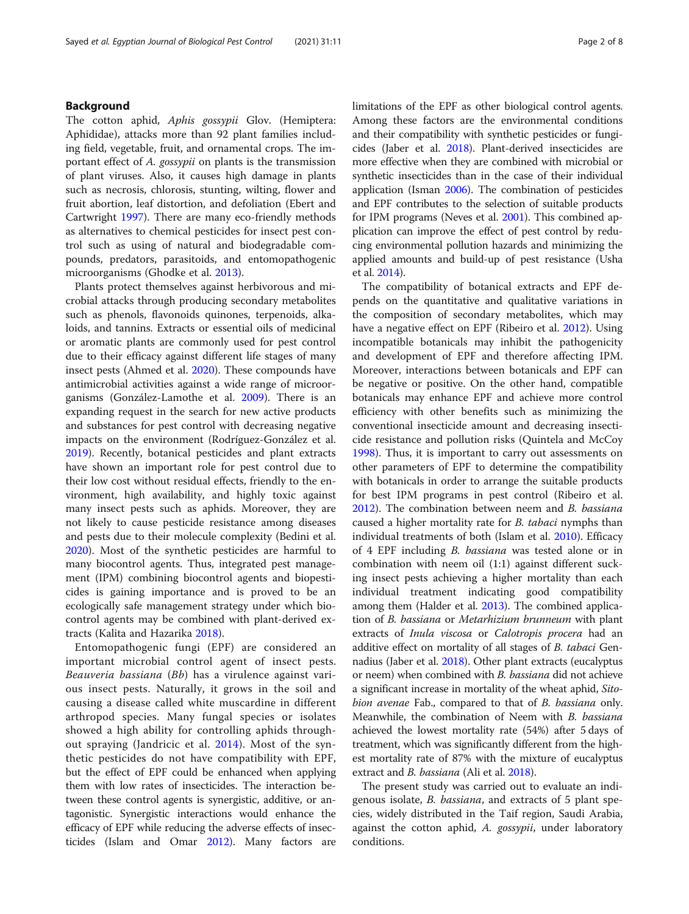#### Background

The cotton aphid, Aphis gossypii Glov. (Hemiptera: Aphididae), attacks more than 92 plant families including field, vegetable, fruit, and ornamental crops. The important effect of A. gossypii on plants is the transmission of plant viruses. Also, it causes high damage in plants such as necrosis, chlorosis, stunting, wilting, flower and fruit abortion, leaf distortion, and defoliation (Ebert and Cartwright [1997](#page-7-0)). There are many eco-friendly methods as alternatives to chemical pesticides for insect pest control such as using of natural and biodegradable compounds, predators, parasitoids, and entomopathogenic microorganisms (Ghodke et al. [2013\)](#page-7-0).

Plants protect themselves against herbivorous and microbial attacks through producing secondary metabolites such as phenols, flavonoids quinones, terpenoids, alkaloids, and tannins. Extracts or essential oils of medicinal or aromatic plants are commonly used for pest control due to their efficacy against different life stages of many insect pests (Ahmed et al. [2020](#page-6-0)). These compounds have antimicrobial activities against a wide range of microorganisms (González-Lamothe et al. [2009](#page-7-0)). There is an expanding request in the search for new active products and substances for pest control with decreasing negative impacts on the environment (Rodríguez-González et al. [2019](#page-7-0)). Recently, botanical pesticides and plant extracts have shown an important role for pest control due to their low cost without residual effects, friendly to the environment, high availability, and highly toxic against many insect pests such as aphids. Moreover, they are not likely to cause pesticide resistance among diseases and pests due to their molecule complexity (Bedini et al. [2020](#page-7-0)). Most of the synthetic pesticides are harmful to many biocontrol agents. Thus, integrated pest management (IPM) combining biocontrol agents and biopesticides is gaining importance and is proved to be an ecologically safe management strategy under which biocontrol agents may be combined with plant-derived extracts (Kalita and Hazarika [2018\)](#page-7-0).

Entomopathogenic fungi (EPF) are considered an important microbial control agent of insect pests. Beauveria bassiana (Bb) has a virulence against various insect pests. Naturally, it grows in the soil and causing a disease called white muscardine in different arthropod species. Many fungal species or isolates showed a high ability for controlling aphids throughout spraying (Jandricic et al. [2014](#page-7-0)). Most of the synthetic pesticides do not have compatibility with EPF, but the effect of EPF could be enhanced when applying them with low rates of insecticides. The interaction between these control agents is synergistic, additive, or antagonistic. Synergistic interactions would enhance the efficacy of EPF while reducing the adverse effects of insecticides (Islam and Omar [2012](#page-7-0)). Many factors are limitations of the EPF as other biological control agents. Among these factors are the environmental conditions and their compatibility with synthetic pesticides or fungicides (Jaber et al. [2018\)](#page-7-0). Plant-derived insecticides are more effective when they are combined with microbial or synthetic insecticides than in the case of their individual application (Isman [2006\)](#page-7-0). The combination of pesticides and EPF contributes to the selection of suitable products for IPM programs (Neves et al. [2001](#page-7-0)). This combined application can improve the effect of pest control by reducing environmental pollution hazards and minimizing the applied amounts and build-up of pest resistance (Usha et al. [2014](#page-7-0)).

The compatibility of botanical extracts and EPF depends on the quantitative and qualitative variations in the composition of secondary metabolites, which may have a negative effect on EPF (Ribeiro et al. [2012\)](#page-7-0). Using incompatible botanicals may inhibit the pathogenicity and development of EPF and therefore affecting IPM. Moreover, interactions between botanicals and EPF can be negative or positive. On the other hand, compatible botanicals may enhance EPF and achieve more control efficiency with other benefits such as minimizing the conventional insecticide amount and decreasing insecticide resistance and pollution risks (Quintela and McCoy [1998](#page-7-0)). Thus, it is important to carry out assessments on other parameters of EPF to determine the compatibility with botanicals in order to arrange the suitable products for best IPM programs in pest control (Ribeiro et al. [2012](#page-7-0)). The combination between neem and B. bassiana caused a higher mortality rate for B. tabaci nymphs than individual treatments of both (Islam et al. [2010\)](#page-7-0). Efficacy of 4 EPF including B. bassiana was tested alone or in combination with neem oil (1:1) against different sucking insect pests achieving a higher mortality than each individual treatment indicating good compatibility among them (Halder et al. [2013\)](#page-7-0). The combined application of B. bassiana or Metarhizium brunneum with plant extracts of Inula viscosa or Calotropis procera had an additive effect on mortality of all stages of B. tabaci Gennadius (Jaber et al. [2018](#page-7-0)). Other plant extracts (eucalyptus or neem) when combined with B. bassiana did not achieve a significant increase in mortality of the wheat aphid, Sitobion avenae Fab., compared to that of B. bassiana only. Meanwhile, the combination of Neem with B. bassiana achieved the lowest mortality rate (54%) after 5 days of treatment, which was significantly different from the highest mortality rate of 87% with the mixture of eucalyptus extract and *B. bassiana* (Ali et al. [2018\)](#page-6-0).

The present study was carried out to evaluate an indigenous isolate, B. bassiana, and extracts of 5 plant species, widely distributed in the Taif region, Saudi Arabia, against the cotton aphid, A. gossypii, under laboratory conditions.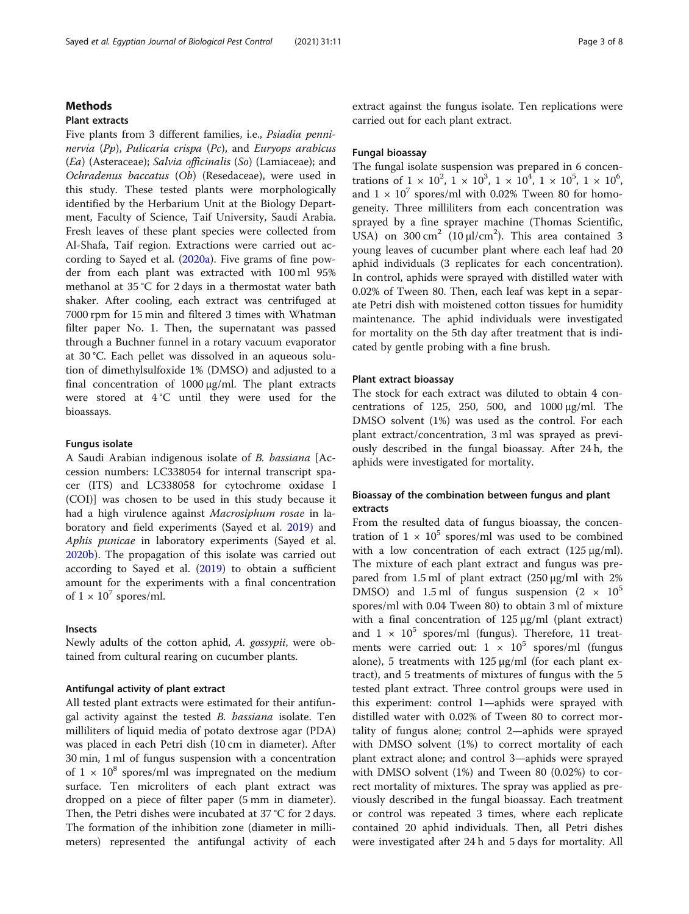#### Methods

#### Plant extracts

Five plants from 3 different families, i.e., Psiadia penninervia  $(Pp)$ , Pulicaria crispa  $(Pc)$ , and Euryops arabicus (Ea) (Asteraceae); Salvia officinalis (So) (Lamiaceae); and Ochradenus baccatus (Ob) (Resedaceae), were used in this study. These tested plants were morphologically identified by the Herbarium Unit at the Biology Department, Faculty of Science, Taif University, Saudi Arabia. Fresh leaves of these plant species were collected from Al-Shafa, Taif region. Extractions were carried out according to Sayed et al. ([2020a\)](#page-7-0). Five grams of fine powder from each plant was extracted with 100 ml 95% methanol at 35 °C for 2 days in a thermostat water bath shaker. After cooling, each extract was centrifuged at 7000 rpm for 15 min and filtered 3 times with Whatman filter paper No. 1. Then, the supernatant was passed through a Buchner funnel in a rotary vacuum evaporator at 30 °C. Each pellet was dissolved in an aqueous solution of dimethylsulfoxide 1% (DMSO) and adjusted to a final concentration of 1000 μg/ml. The plant extracts were stored at 4 °C until they were used for the bioassays.

#### Fungus isolate

A Saudi Arabian indigenous isolate of B. bassiana [Accession numbers: LC338054 for internal transcript spacer (ITS) and LC338058 for cytochrome oxidase I (COI)] was chosen to be used in this study because it had a high virulence against Macrosiphum rosae in laboratory and field experiments (Sayed et al. [2019\)](#page-7-0) and Aphis punicae in laboratory experiments (Sayed et al. [2020b](#page-7-0)). The propagation of this isolate was carried out according to Sayed et al. [\(2019](#page-7-0)) to obtain a sufficient amount for the experiments with a final concentration of  $1 \times 10^7$  spores/ml.

#### Insects

Newly adults of the cotton aphid, A. gossypii, were obtained from cultural rearing on cucumber plants.

#### Antifungal activity of plant extract

All tested plant extracts were estimated for their antifungal activity against the tested B. bassiana isolate. Ten milliliters of liquid media of potato dextrose agar (PDA) was placed in each Petri dish (10 cm in diameter). After 30 min, 1 ml of fungus suspension with a concentration of  $1 \times 10^8$  spores/ml was impregnated on the medium surface. Ten microliters of each plant extract was dropped on a piece of filter paper (5 mm in diameter). Then, the Petri dishes were incubated at 37 °C for 2 days. The formation of the inhibition zone (diameter in millimeters) represented the antifungal activity of each extract against the fungus isolate. Ten replications were carried out for each plant extract.

#### Fungal bioassay

The fungal isolate suspension was prepared in 6 concentrations of  $1 \times 10^2$ ,  $1 \times 10^3$ ,  $1 \times 10^4$ ,  $1 \times 10^5$ ,  $1 \times 10^6$ , and  $1 \times 10^7$  spores/ml with 0.02% Tween 80 for homogeneity. Three milliliters from each concentration was sprayed by a fine sprayer machine (Thomas Scientific, USA) on  $300 \text{ cm}^2$  ( $10 \mu l/cm^2$ ). This area contained 3 young leaves of cucumber plant where each leaf had 20 aphid individuals (3 replicates for each concentration). In control, aphids were sprayed with distilled water with 0.02% of Tween 80. Then, each leaf was kept in a separate Petri dish with moistened cotton tissues for humidity maintenance. The aphid individuals were investigated for mortality on the 5th day after treatment that is indicated by gentle probing with a fine brush.

#### Plant extract bioassay

The stock for each extract was diluted to obtain 4 concentrations of 125, 250, 500, and 1000 μg/ml. The DMSO solvent (1%) was used as the control. For each plant extract/concentration, 3 ml was sprayed as previously described in the fungal bioassay. After 24 h, the aphids were investigated for mortality.

#### Bioassay of the combination between fungus and plant extracts

From the resulted data of fungus bioassay, the concentration of  $1 \times 10^5$  spores/ml was used to be combined with a low concentration of each extract  $(125 \mu g/ml)$ . The mixture of each plant extract and fungus was prepared from 1.5 ml of plant extract (250 μg/ml with 2% DMSO) and 1.5 ml of fungus suspension  $(2 \times 10^5$ spores/ml with 0.04 Tween 80) to obtain 3 ml of mixture with a final concentration of 125 μg/ml (plant extract) and  $1 \times 10^5$  spores/ml (fungus). Therefore, 11 treatments were carried out:  $1 \times 10^5$  spores/ml (fungus alone), 5 treatments with 125 μg/ml (for each plant extract), and 5 treatments of mixtures of fungus with the 5 tested plant extract. Three control groups were used in this experiment: control 1—aphids were sprayed with distilled water with 0.02% of Tween 80 to correct mortality of fungus alone; control 2—aphids were sprayed with DMSO solvent (1%) to correct mortality of each plant extract alone; and control 3—aphids were sprayed with DMSO solvent (1%) and Tween 80 (0.02%) to correct mortality of mixtures. The spray was applied as previously described in the fungal bioassay. Each treatment or control was repeated 3 times, where each replicate contained 20 aphid individuals. Then, all Petri dishes were investigated after 24 h and 5 days for mortality. All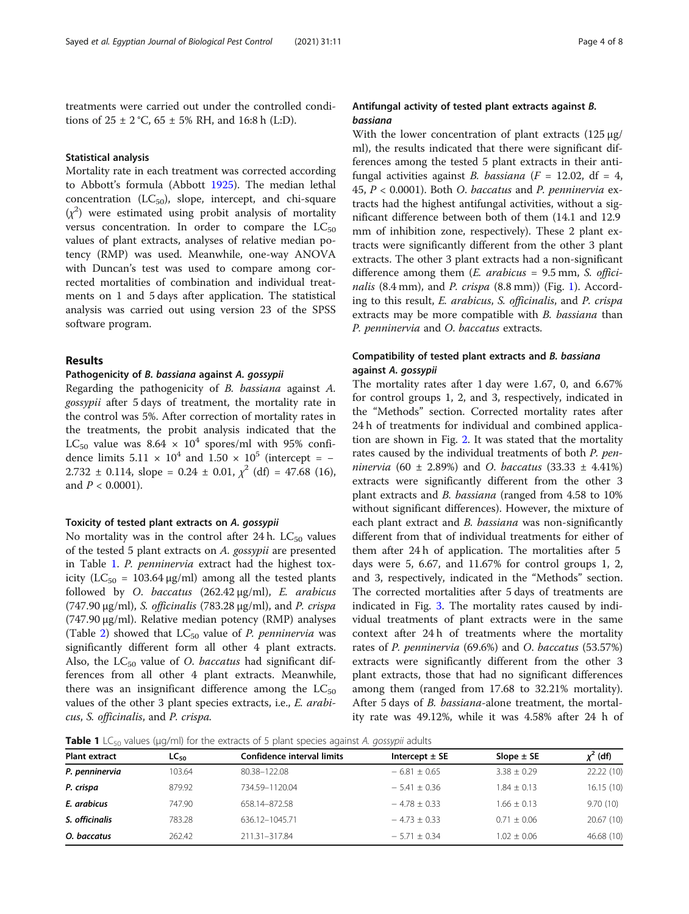treatments were carried out under the controlled conditions of  $25 \pm 2$  °C,  $65 \pm 5$ % RH, and 16:8 h (L:D).

#### Statistical analysis

Mortality rate in each treatment was corrected according to Abbott's formula (Abbott [1925](#page-6-0)). The median lethal concentration  $(LC_{50})$ , slope, intercept, and chi-square  $(\chi^2)$  were estimated using probit analysis of mortality versus concentration. In order to compare the  $LC_{50}$ values of plant extracts, analyses of relative median potency (RMP) was used. Meanwhile, one-way ANOVA with Duncan's test was used to compare among corrected mortalities of combination and individual treatments on 1 and 5 days after application. The statistical analysis was carried out using version 23 of the SPSS software program.

#### Results

#### Pathogenicity of B. bassiana against A. gossypii

Regarding the pathogenicity of B. bassiana against A. gossypii after 5 days of treatment, the mortality rate in the control was 5%. After correction of mortality rates in the treatments, the probit analysis indicated that the LC<sub>50</sub> value was 8.64  $\times$  10<sup>4</sup> spores/ml with 95% confidence limits  $5.11 \times 10^4$  and  $1.50 \times 10^5$  (intercept = −  $2.732 \pm 0.114$ , slope = 0.24  $\pm$  0.01,  $\chi^2$  (df) = 47.68 (16), and  $P < 0.0001$ ).

#### Toxicity of tested plant extracts on A. gossypii

No mortality was in the control after 24 h.  $LC_{50}$  values of the tested 5 plant extracts on A. gossypii are presented in Table 1. P. penninervia extract had the highest toxicity ( $LC_{50}$  = 103.64  $\mu$ g/ml) among all the tested plants followed by O. baccatus (262.42 μg/ml), E. arabicus  $(747.90 \,\mu g/ml)$ , *S. officinalis*  $(783.28 \,\mu g/ml)$ , and *P. crispa* (747.90 μg/ml). Relative median potency (RMP) analyses (Table [2\)](#page-4-0) showed that  $LC_{50}$  value of *P. penninervia* was significantly different form all other 4 plant extracts. Also, the  $LC_{50}$  value of O. *baccatus* had significant differences from all other 4 plant extracts. Meanwhile, there was an insignificant difference among the  $LC_{50}$ values of the other 3 plant species extracts, i.e., E. arabicus, S. officinalis, and P. crispa.

# Antifungal activity of tested plant extracts against *B*.<br>bassiana

With the lower concentration of plant extracts  $(125 \mu g/m)$ ml), the results indicated that there were significant differences among the tested 5 plant extracts in their antifungal activities against *B. bassiana* ( $F = 12.02$ , df = 4, 45,  $P < 0.0001$ ). Both O. baccatus and P. penninervia extracts had the highest antifungal activities, without a significant difference between both of them (14.1 and 12.9 mm of inhibition zone, respectively). These 2 plant extracts were significantly different from the other 3 plant extracts. The other 3 plant extracts had a non-significant difference among them  $(E. arabicus = 9.5 mm, S.$  officinalis  $(8.4 \text{ mm})$ , and P. crispa  $(8.8 \text{ mm})$ ) (Fig. [1](#page-4-0)). According to this result, E. arabicus, S. officinalis, and P. crispa extracts may be more compatible with B. bassiana than P. penninervia and O. baccatus extracts.

### Compatibility of tested plant extracts and B. bassiana against A. gossypii

The mortality rates after 1 day were 1.67, 0, and 6.67% for control groups 1, 2, and 3, respectively, indicated in the "Methods" section. Corrected mortality rates after 24 h of treatments for individual and combined application are shown in Fig. [2](#page-5-0). It was stated that the mortality rates caused by the individual treatments of both P. penninervia (60  $\pm$  2.89%) and O. baccatus (33.33  $\pm$  4.41%) extracts were significantly different from the other 3 plant extracts and B. bassiana (ranged from 4.58 to 10% without significant differences). However, the mixture of each plant extract and *B. bassiana* was non-significantly different from that of individual treatments for either of them after 24 h of application. The mortalities after 5 days were 5, 6.67, and 11.67% for control groups 1, 2, and 3, respectively, indicated in the "Methods" section. The corrected mortalities after 5 days of treatments are indicated in Fig. [3](#page-5-0). The mortality rates caused by individual treatments of plant extracts were in the same context after 24 h of treatments where the mortality rates of P. penninervia (69.6%) and O. baccatus (53.57%) extracts were significantly different from the other 3 plant extracts, those that had no significant differences among them (ranged from 17.68 to 32.21% mortality). After 5 days of *B. bassiana*-alone treatment, the mortality rate was 49.12%, while it was 4.58% after 24 h of

**Table 1** LC<sub>50</sub> values ( $\mu$ g/ml) for the extracts of 5 plant species against A. gossypii adults

| <b>Plant extract</b> | $LC_{50}$ | Confidence interval limits | Intercept $\pm$ SE | Slope $\pm$ SE  | $\chi^2$ (df) |
|----------------------|-----------|----------------------------|--------------------|-----------------|---------------|
| P. penninervia       | 103.64    | 80.38-122.08               | $-6.81 \pm 0.65$   | $3.38 + 0.29$   | 22.22(10)     |
| P. crispa            | 879.92    | 734.59-1120.04             | $-5.41 \pm 0.36$   | $1.84 + 0.13$   | 16.15(10)     |
| E. arabicus          | 747.90    | 658.14-872.58              | $-4.78 + 0.33$     | $1.66 + 0.13$   | 9.70(10)      |
| S. officinalis       | 783.28    | 636.12-1045.71             | $-4.73 \pm 0.33$   | $0.71 \pm 0.06$ | 20.67(10)     |
| O. baccatus          | 262.42    | 211.31-317.84              | $-5.71 + 0.34$     | $1.02 + 0.06$   | 46.68 (10)    |
|                      |           |                            |                    |                 |               |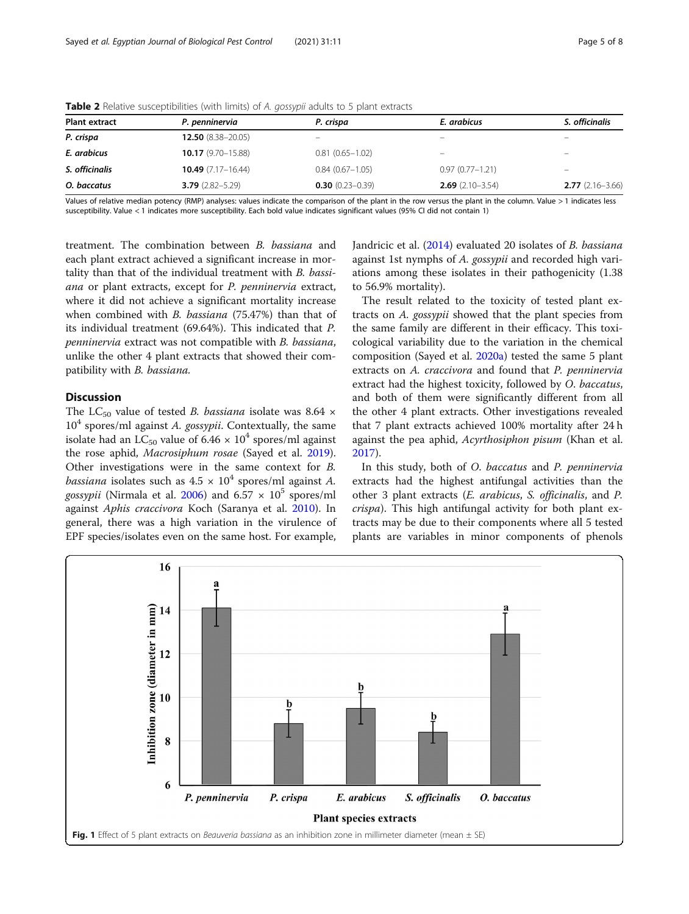| <b>Plant extract</b> | P. penninervia                                                                                                                                                     | P. crispa           | E. arabicus         | S. officinalis<br>- |
|----------------------|--------------------------------------------------------------------------------------------------------------------------------------------------------------------|---------------------|---------------------|---------------------|
| P. crispa            | <b>12.50</b> $(8.38 - 20.05)$                                                                                                                                      |                     | -                   |                     |
| E. arabicus          | $10.17(9.70 - 15.88)$                                                                                                                                              | $0.81(0.65 - 1.02)$ |                     | -                   |
| S. officinalis       | <b>10.49</b> $(7.17-16.44)$                                                                                                                                        | $0.84(0.67 - 1.05)$ | $0.97(0.77 - 1.21)$ |                     |
| O. baccatus          | $3.79(2.82 - 5.29)$                                                                                                                                                | $0.30(0.23 - 0.39)$ | $2.69(2.10-3.54)$   | $2.77(2.16 - 3.66)$ |
|                      | Values of relative median potency (RMP) analyses: values indicate the comparison of the plant in the row versus the plant in the column. Value $>1$ indicates less |                     |                     |                     |

<span id="page-4-0"></span>Table 2 Relative susceptibilities (with limits) of A. gossypii adults to 5 plant extracts

susceptibility. Value < 1 indicates more susceptibility. Each bold value indicates significant values (95% CI did not contain 1)

treatment. The combination between B. bassiana and each plant extract achieved a significant increase in mortality than that of the individual treatment with B. bassiana or plant extracts, except for P. penninervia extract, where it did not achieve a significant mortality increase when combined with B. bassiana (75.47%) than that of its individual treatment (69.64%). This indicated that P. penninervia extract was not compatible with B. bassiana, unlike the other 4 plant extracts that showed their compatibility with B. bassiana.

#### Discussion

The LC<sub>50</sub> value of tested *B. bassiana* isolate was 8.64  $\times$  $10<sup>4</sup>$  spores/ml against A. gossypii. Contextually, the same isolate had an  $LC_{50}$  value of 6.46  $\times$  10<sup>4</sup> spores/ml against the rose aphid, Macrosiphum rosae (Sayed et al. [2019](#page-7-0)). Other investigations were in the same context for B. *bassiana* isolates such as  $4.5 \times 10^4$  spores/ml against A. *gossypii* (Nirmala et al. [2006\)](#page-7-0) and  $6.57 \times 10^5$  spores/ml against Aphis craccivora Koch (Saranya et al. [2010](#page-7-0)). In general, there was a high variation in the virulence of EPF species/isolates even on the same host. For example, Jandricic et al. ([2014\)](#page-7-0) evaluated 20 isolates of B. bassiana against 1st nymphs of A. gossypii and recorded high variations among these isolates in their pathogenicity (1.38 to 56.9% mortality).

The result related to the toxicity of tested plant extracts on A. gossypii showed that the plant species from the same family are different in their efficacy. This toxicological variability due to the variation in the chemical composition (Sayed et al. [2020a\)](#page-7-0) tested the same 5 plant extracts on A. craccivora and found that P. penninervia extract had the highest toxicity, followed by O. baccatus, and both of them were significantly different from all the other 4 plant extracts. Other investigations revealed that 7 plant extracts achieved 100% mortality after 24 h against the pea aphid, Acyrthosiphon pisum (Khan et al. [2017](#page-7-0)).

In this study, both of O. baccatus and P. penninervia extracts had the highest antifungal activities than the other 3 plant extracts (E. arabicus, S. officinalis, and P. crispa). This high antifungal activity for both plant extracts may be due to their components where all 5 tested plants are variables in minor components of phenols

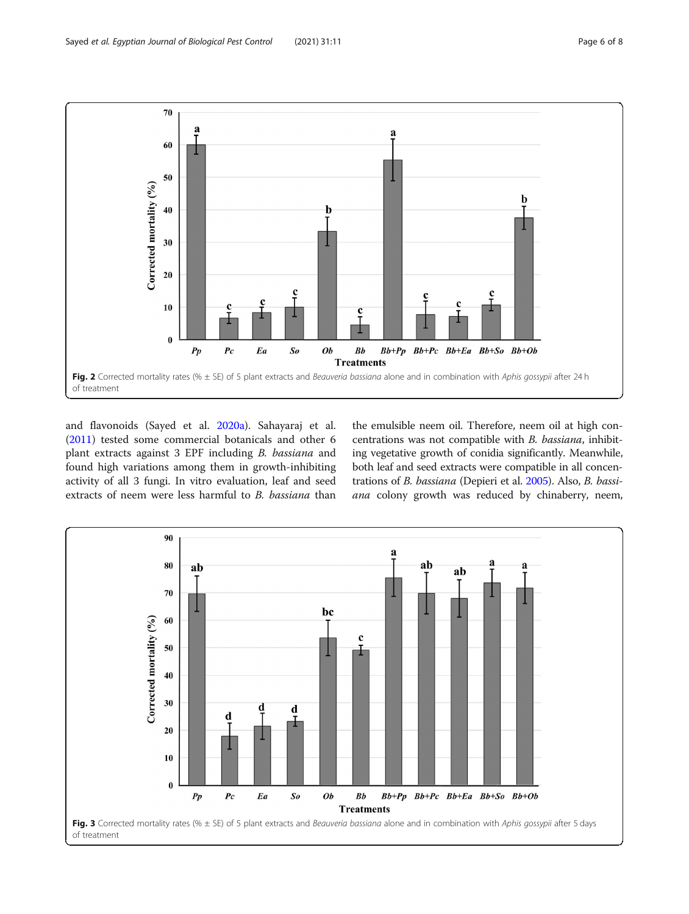<span id="page-5-0"></span>

and flavonoids (Sayed et al. [2020a\)](#page-7-0). Sahayaraj et al. ([2011](#page-7-0)) tested some commercial botanicals and other 6 plant extracts against 3 EPF including B. bassiana and found high variations among them in growth-inhibiting activity of all 3 fungi. In vitro evaluation, leaf and seed extracts of neem were less harmful to B. bassiana than

the emulsible neem oil. Therefore, neem oil at high concentrations was not compatible with B. bassiana, inhibiting vegetative growth of conidia significantly. Meanwhile, both leaf and seed extracts were compatible in all concentrations of B. bassiana (Depieri et al. [2005\)](#page-7-0). Also, B. bassiana colony growth was reduced by chinaberry, neem,

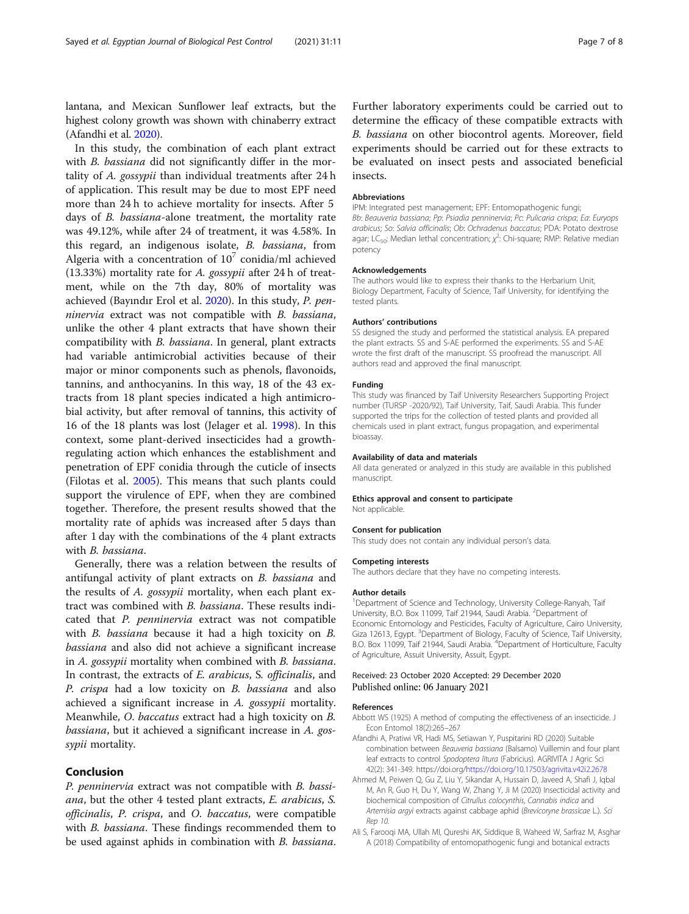<span id="page-6-0"></span>lantana, and Mexican Sunflower leaf extracts, but the highest colony growth was shown with chinaberry extract (Afandhi et al. 2020).

In this study, the combination of each plant extract with *B. bassiana* did not significantly differ in the mortality of A. gossypii than individual treatments after 24 h of application. This result may be due to most EPF need more than 24 h to achieve mortality for insects. After 5 days of B. bassiana-alone treatment, the mortality rate was 49.12%, while after 24 of treatment, it was 4.58%. In this regard, an indigenous isolate, B. bassiana, from Algeria with a concentration of  $10^7$  conidia/ml achieved (13.33%) mortality rate for A. gossypii after 24 h of treatment, while on the 7th day, 80% of mortality was achieved (Bayındır Erol et al. [2020](#page-7-0)). In this study, P. penninervia extract was not compatible with B. bassiana, unlike the other 4 plant extracts that have shown their compatibility with B. bassiana. In general, plant extracts had variable antimicrobial activities because of their major or minor components such as phenols, flavonoids, tannins, and anthocyanins. In this way, 18 of the 43 extracts from 18 plant species indicated a high antimicrobial activity, but after removal of tannins, this activity of 16 of the 18 plants was lost (Jelager et al. [1998](#page-7-0)). In this context, some plant-derived insecticides had a growthregulating action which enhances the establishment and penetration of EPF conidia through the cuticle of insects (Filotas et al. [2005\)](#page-7-0). This means that such plants could support the virulence of EPF, when they are combined together. Therefore, the present results showed that the mortality rate of aphids was increased after 5 days than after 1 day with the combinations of the 4 plant extracts with B. bassiana.

Generally, there was a relation between the results of antifungal activity of plant extracts on B. bassiana and the results of A. gossypii mortality, when each plant extract was combined with B. bassiana. These results indicated that P. penninervia extract was not compatible with *B. bassiana* because it had a high toxicity on *B*. bassiana and also did not achieve a significant increase in A. gossypii mortality when combined with B. bassiana. In contrast, the extracts of E. arabicus, S. officinalis, and P. crispa had a low toxicity on B. bassiana and also achieved a significant increase in A. gossypii mortality. Meanwhile, O. baccatus extract had a high toxicity on B. bassiana, but it achieved a significant increase in A. gossypii mortality.

#### Conclusion

P. penninervia extract was not compatible with B. bassiana, but the other 4 tested plant extracts, E. arabicus, S. officinalis, P. crispa, and O. baccatus, were compatible with *B. bassiana*. These findings recommended them to be used against aphids in combination with B. bassiana.

Further laboratory experiments could be carried out to determine the efficacy of these compatible extracts with B. bassiana on other biocontrol agents. Moreover, field experiments should be carried out for these extracts to be evaluated on insect pests and associated beneficial insects.

#### Abbreviations

#### IPM: Integrated pest management; EPF: Entomopathogenic fungi;

Bb: Beauveria bassiana; Pp: Psiadia penninervia; Pc: Pulicaria crispa; Ea: Euryops arabicus; So: Salvia officinalis; Ob: Ochradenus baccatus; PDA: Potato dextrose agar; LC<sub>50</sub>: Median lethal concentration;  $\chi^2$ : Chi-square; RMP: Relative median potency

#### Acknowledgements

The authors would like to express their thanks to the Herbarium Unit, Biology Department, Faculty of Science, Taif University, for identifying the tested plants.

#### Authors' contributions

SS designed the study and performed the statistical analysis. EA prepared the plant extracts. SS and S-AE performed the experiments. SS and S-AE wrote the first draft of the manuscript. SS proofread the manuscript. All authors read and approved the final manuscript.

#### Funding

This study was financed by Taif University Researchers Supporting Project number (TURSP -2020/92), Taif University, Taif, Saudi Arabia. This funder supported the trips for the collection of tested plants and provided all chemicals used in plant extract, fungus propagation, and experimental bioassay.

#### Availability of data and materials

All data generated or analyzed in this study are available in this published manuscript.

#### Ethics approval and consent to participate

# Not applicable.

#### Consent for publication

This study does not contain any individual person's data.

#### Competing interests

The authors declare that they have no competing interests.

#### Author details

<sup>1</sup>Department of Science and Technology, University College-Ranyah, Taif University, B.O. Box 11099, Taif 21944, Saudi Arabia. <sup>2</sup>Department of Economic Entomology and Pesticides, Faculty of Agriculture, Cairo University, Giza 12613, Egypt. <sup>3</sup>Department of Biology, Faculty of Science, Taif University B.O. Box 11099, Taif 21944, Saudi Arabia. <sup>4</sup>Department of Horticulture, Faculty of Agriculture, Assuit University, Assuit, Egypt.

#### Received: 23 October 2020 Accepted: 29 December 2020 Published online: 06 January 2021

#### References

- Abbott WS (1925) A method of computing the effectiveness of an insecticide. J Econ Entomol 18(2):265–267
- Afandhi A, Pratiwi VR, Hadi MS, Setiawan Y, Puspitarini RD (2020) Suitable combination between Beauveria bassiana (Balsamo) Vuillemin and four plant leaf extracts to control Spodoptera litura (Fabricius). AGRIVITA J Agric Sci 42(2): 341-349. https://doi.org/<https://doi.org/10.17503/agrivita.v42i2.2678>
- Ahmed M, Peiwen Q, Gu Z, Liu Y, Sikandar A, Hussain D, Javeed A, Shafi J, Iqbal M, An R, Guo H, Du Y, Wang W, Zhang Y, Ji M (2020) Insecticidal activity and biochemical composition of Citrullus colocynthis, Cannabis indica and Artemisia argyi extracts against cabbage aphid (Brevicoryne brassicae L.). Sci Rep 10.
- Ali S, Farooqi MA, Ullah MI, Qureshi AK, Siddique B, Waheed W, Sarfraz M, Asghar A (2018) Compatibility of entomopathogenic fungi and botanical extracts